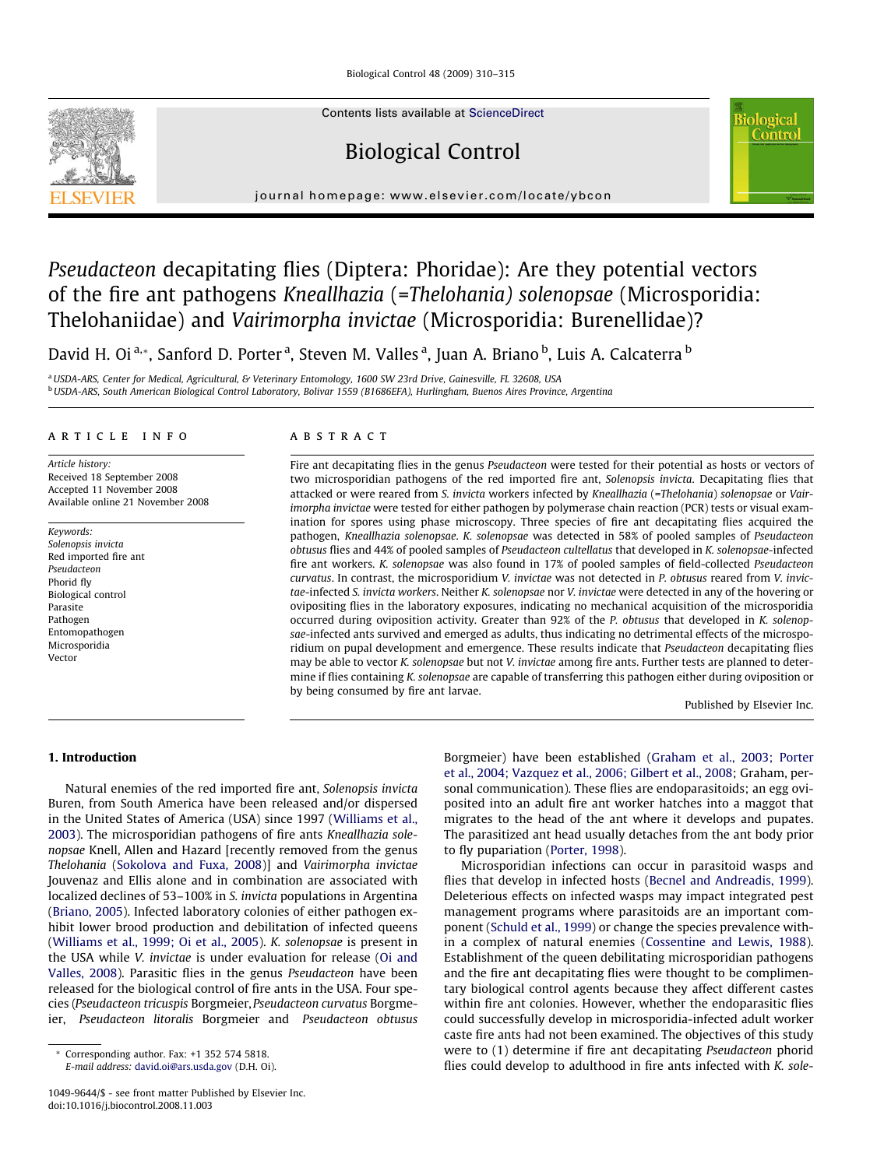Biological Control 48 (2009) 310–315



Contents lists available at [ScienceDirect](http://www.sciencedirect.com/science/journal/10499644)

# Biological Control



journal homepage: [www.elsevier.com/locate/ybcon](http://www.elsevier.com/locate/ybcon)

# Pseudacteon decapitating flies (Diptera: Phoridae): Are they potential vectors of the fire ant pathogens Kneallhazia (=Thelohania) solenopsae (Microsporidia: Thelohaniidae) and Vairimorpha invictae (Microsporidia: Burenellidae)?

David H. Oi <sup>a,</sup>\*, Sanford D. Porter <sup>a</sup>, Steven M. Valles <sup>a</sup>, Juan A. Briano <sup>b</sup>, Luis A. Calcaterra <sup>b</sup>

<sup>a</sup> USDA-ARS, Center for Medical, Agricultural, & Veterinary Entomology, 1600 SW 23rd Drive, Gainesville, FL 32608, USA <sup>b</sup> USDA-ARS, South American Biological Control Laboratory, Bolivar 1559 (B1686EFA), Hurlingham, Buenos Aires Province, Argentina

# article info

Article history: Received 18 September 2008 Accepted 11 November 2008 Available online 21 November 2008

Keywords: Solenopsis invicta Red imported fire ant Pseudacteon Phorid fly Biological control Parasite Pathogen Entomopathogen Microsporidia Vector

# ABSTRACT

Fire ant decapitating flies in the genus Pseudacteon were tested for their potential as hosts or vectors of two microsporidian pathogens of the red imported fire ant, Solenopsis invicta. Decapitating flies that attacked or were reared from S. invicta workers infected by Kneallhazia (=Thelohania) solenopsae or Vairimorpha invictae were tested for either pathogen by polymerase chain reaction (PCR) tests or visual examination for spores using phase microscopy. Three species of fire ant decapitating flies acquired the pathogen, Kneallhazia solenopsae. K. solenopsae was detected in 58% of pooled samples of Pseudacteon obtusus flies and 44% of pooled samples of Pseudacteon cultellatus that developed in K. solenopsae-infected fire ant workers. K. solenopsae was also found in 17% of pooled samples of field-collected Pseudacteon curvatus. In contrast, the microsporidium V. invictae was not detected in P. obtusus reared from V. invictae-infected S. invicta workers. Neither K. solenopsae nor V. invictae were detected in any of the hovering or ovipositing flies in the laboratory exposures, indicating no mechanical acquisition of the microsporidia occurred during oviposition activity. Greater than 92% of the P. obtusus that developed in K. solenopsae-infected ants survived and emerged as adults, thus indicating no detrimental effects of the microsporidium on pupal development and emergence. These results indicate that Pseudacteon decapitating flies may be able to vector K. solenopsae but not V. invictae among fire ants. Further tests are planned to determine if flies containing K. solenopsae are capable of transferring this pathogen either during oviposition or by being consumed by fire ant larvae.

Published by Elsevier Inc.

# 1. Introduction

Natural enemies of the red imported fire ant, Solenopsis invicta Buren, from South America have been released and/or dispersed in the United States of America (USA) since 1997 [\(Williams et al.,](#page-5-0) [2003\)](#page-5-0). The microsporidian pathogens of fire ants Kneallhazia solenopsae Knell, Allen and Hazard [recently removed from the genus Thelohania [\(Sokolova and Fuxa, 2008](#page-5-0))] and Vairimorpha invictae Jouvenaz and Ellis alone and in combination are associated with localized declines of 53–100% in S. invicta populations in Argentina ([Briano, 2005\)](#page-4-0). Infected laboratory colonies of either pathogen exhibit lower brood production and debilitation of infected queens ([Williams et al., 1999; Oi et al., 2005\)](#page-5-0). K. solenopsae is present in the USA while V. invictae is under evaluation for release [\(Oi and](#page-5-0) [Valles, 2008\)](#page-5-0). Parasitic flies in the genus Pseudacteon have been released for the biological control of fire ants in the USA. Four species (Pseudacteon tricuspis Borgmeier,Pseudacteon curvatus Borgmeier, Pseudacteon litoralis Borgmeier and Pseudacteon obtusus Borgmeier) have been established ([Graham et al., 2003; Porter](#page-4-0) [et al., 2004; Vazquez et al., 2006; Gilbert et al., 2008;](#page-4-0) Graham, personal communication). These flies are endoparasitoids; an egg oviposited into an adult fire ant worker hatches into a maggot that migrates to the head of the ant where it develops and pupates. The parasitized ant head usually detaches from the ant body prior to fly pupariation ([Porter, 1998\)](#page-5-0).

Microsporidian infections can occur in parasitoid wasps and flies that develop in infected hosts [\(Becnel and Andreadis, 1999\)](#page-4-0). Deleterious effects on infected wasps may impact integrated pest management programs where parasitoids are an important component [\(Schuld et al., 1999\)](#page-5-0) or change the species prevalence within a complex of natural enemies ([Cossentine and Lewis, 1988\)](#page-4-0). Establishment of the queen debilitating microsporidian pathogens and the fire ant decapitating flies were thought to be complimentary biological control agents because they affect different castes within fire ant colonies. However, whether the endoparasitic flies could successfully develop in microsporidia-infected adult worker caste fire ants had not been examined. The objectives of this study were to (1) determine if fire ant decapitating Pseudacteon phorid flies could develop to adulthood in fire ants infected with K. sole-

<sup>\*</sup> Corresponding author. Fax: +1 352 574 5818. E-mail address: [david.oi@ars.usda.gov](mailto:david.oi@ars.usda.gov) (D.H. Oi).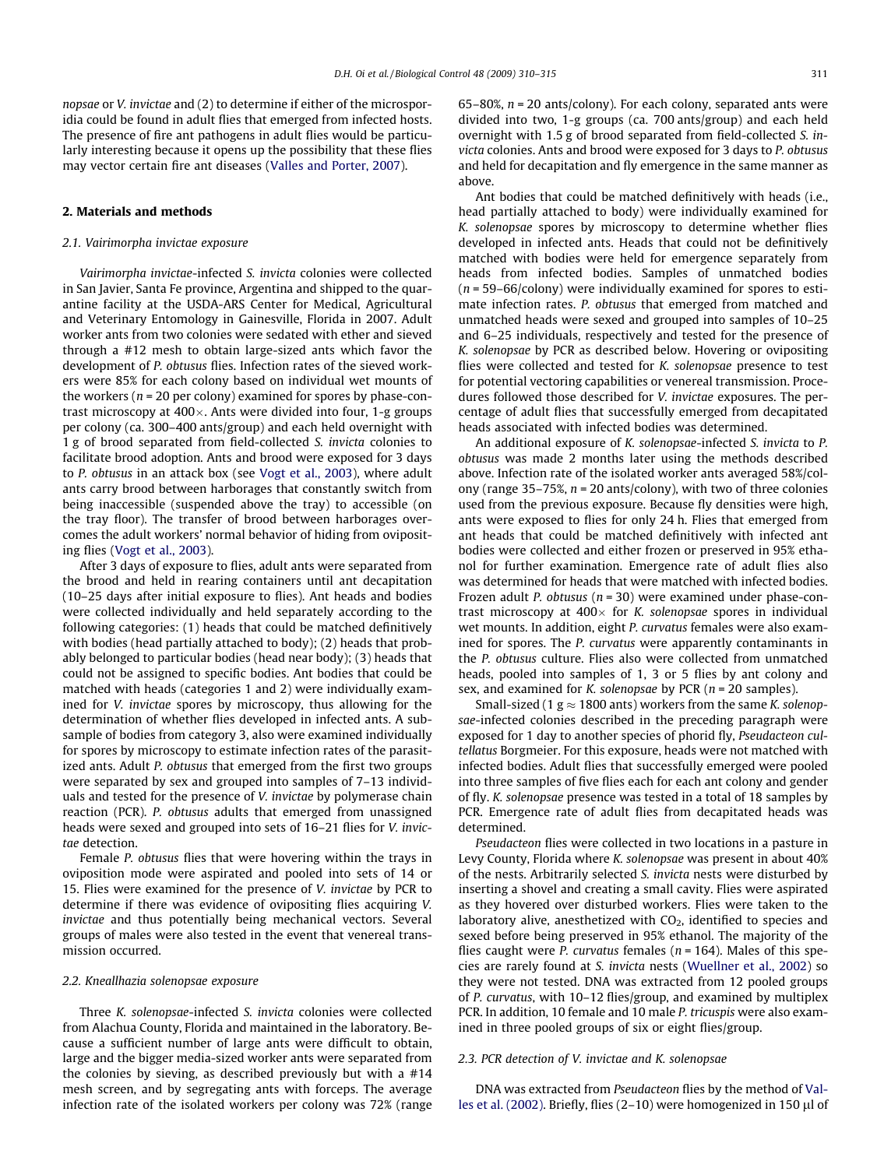nopsae or V. invictae and (2) to determine if either of the microsporidia could be found in adult flies that emerged from infected hosts. The presence of fire ant pathogens in adult flies would be particularly interesting because it opens up the possibility that these flies may vector certain fire ant diseases ([Valles and Porter, 2007](#page-5-0)).

# 2. Materials and methods

## 2.1. Vairimorpha invictae exposure

Vairimorpha invictae-infected S. invicta colonies were collected in San Javier, Santa Fe province, Argentina and shipped to the quarantine facility at the USDA-ARS Center for Medical, Agricultural and Veterinary Entomology in Gainesville, Florida in 2007. Adult worker ants from two colonies were sedated with ether and sieved through a #12 mesh to obtain large-sized ants which favor the development of P. obtusus flies. Infection rates of the sieved workers were 85% for each colony based on individual wet mounts of the workers ( $n = 20$  per colony) examined for spores by phase-contrast microscopy at 400×. Ants were divided into four, 1-g groups per colony (ca. 300–400 ants/group) and each held overnight with 1 g of brood separated from field-collected S. invicta colonies to facilitate brood adoption. Ants and brood were exposed for 3 days to P. obtusus in an attack box (see [Vogt et al., 2003\)](#page-5-0), where adult ants carry brood between harborages that constantly switch from being inaccessible (suspended above the tray) to accessible (on the tray floor). The transfer of brood between harborages overcomes the adult workers' normal behavior of hiding from ovipositing flies [\(Vogt et al., 2003](#page-5-0)).

After 3 days of exposure to flies, adult ants were separated from the brood and held in rearing containers until ant decapitation (10–25 days after initial exposure to flies). Ant heads and bodies were collected individually and held separately according to the following categories: (1) heads that could be matched definitively with bodies (head partially attached to body); (2) heads that probably belonged to particular bodies (head near body); (3) heads that could not be assigned to specific bodies. Ant bodies that could be matched with heads (categories 1 and 2) were individually examined for V. invictae spores by microscopy, thus allowing for the determination of whether flies developed in infected ants. A subsample of bodies from category 3, also were examined individually for spores by microscopy to estimate infection rates of the parasitized ants. Adult P. obtusus that emerged from the first two groups were separated by sex and grouped into samples of 7–13 individuals and tested for the presence of V. invictae by polymerase chain reaction (PCR). P. obtusus adults that emerged from unassigned heads were sexed and grouped into sets of 16–21 flies for V. invictae detection.

Female P. obtusus flies that were hovering within the trays in oviposition mode were aspirated and pooled into sets of 14 or 15. Flies were examined for the presence of V. invictae by PCR to determine if there was evidence of ovipositing flies acquiring V. invictae and thus potentially being mechanical vectors. Several groups of males were also tested in the event that venereal transmission occurred.

## 2.2. Kneallhazia solenopsae exposure

Three K. solenopsae-infected S. invicta colonies were collected from Alachua County, Florida and maintained in the laboratory. Because a sufficient number of large ants were difficult to obtain, large and the bigger media-sized worker ants were separated from the colonies by sieving, as described previously but with a #14 mesh screen, and by segregating ants with forceps. The average infection rate of the isolated workers per colony was 72% (range 65–80%,  $n = 20$  ants/colony). For each colony, separated ants were divided into two, 1-g groups (ca. 700 ants/group) and each held overnight with 1.5 g of brood separated from field-collected S. invicta colonies. Ants and brood were exposed for 3 days to P. obtusus and held for decapitation and fly emergence in the same manner as above.

Ant bodies that could be matched definitively with heads (i.e., head partially attached to body) were individually examined for K. solenopsae spores by microscopy to determine whether flies developed in infected ants. Heads that could not be definitively matched with bodies were held for emergence separately from heads from infected bodies. Samples of unmatched bodies  $(n = 59-66$ /colony) were individually examined for spores to estimate infection rates. P. obtusus that emerged from matched and unmatched heads were sexed and grouped into samples of 10–25 and 6–25 individuals, respectively and tested for the presence of K. solenopsae by PCR as described below. Hovering or ovipositing flies were collected and tested for K. solenopsae presence to test for potential vectoring capabilities or venereal transmission. Procedures followed those described for V. invictae exposures. The percentage of adult flies that successfully emerged from decapitated heads associated with infected bodies was determined.

An additional exposure of K. solenopsae-infected S. invicta to P. obtusus was made 2 months later using the methods described above. Infection rate of the isolated worker ants averaged 58%/colony (range 35-75%,  $n = 20$  ants/colony), with two of three colonies used from the previous exposure. Because fly densities were high, ants were exposed to flies for only 24 h. Flies that emerged from ant heads that could be matched definitively with infected ant bodies were collected and either frozen or preserved in 95% ethanol for further examination. Emergence rate of adult flies also was determined for heads that were matched with infected bodies. Frozen adult P. obtusus ( $n = 30$ ) were examined under phase-contrast microscopy at  $400\times$  for K. solenopsae spores in individual wet mounts. In addition, eight P. curvatus females were also examined for spores. The P. curvatus were apparently contaminants in the P. obtusus culture. Flies also were collected from unmatched heads, pooled into samples of 1, 3 or 5 flies by ant colony and sex, and examined for K. solenopsae by PCR ( $n = 20$  samples).

Small-sized (1  $g \approx 1800$  ants) workers from the same K. solenopsae-infected colonies described in the preceding paragraph were exposed for 1 day to another species of phorid fly, Pseudacteon cultellatus Borgmeier. For this exposure, heads were not matched with infected bodies. Adult flies that successfully emerged were pooled into three samples of five flies each for each ant colony and gender of fly. K. solenopsae presence was tested in a total of 18 samples by PCR. Emergence rate of adult flies from decapitated heads was determined.

Pseudacteon flies were collected in two locations in a pasture in Levy County, Florida where K. solenopsae was present in about 40% of the nests. Arbitrarily selected S. invicta nests were disturbed by inserting a shovel and creating a small cavity. Flies were aspirated as they hovered over disturbed workers. Flies were taken to the laboratory alive, anesthetized with CO<sub>2</sub>, identified to species and sexed before being preserved in 95% ethanol. The majority of the flies caught were *P. curvatus* females ( $n = 164$ ). Males of this species are rarely found at S. invicta nests ([Wuellner et al., 2002](#page-5-0)) so they were not tested. DNA was extracted from 12 pooled groups of P. curvatus, with 10–12 flies/group, and examined by multiplex PCR. In addition, 10 female and 10 male P. tricuspis were also examined in three pooled groups of six or eight flies/group.

#### 2.3. PCR detection of V. invictae and K. solenopsae

DNA was extracted from Pseudacteon flies by the method of [Val](#page-5-0)[les et al. \(2002\).](#page-5-0) Briefly, flies (2-10) were homogenized in 150  $\mu$ l of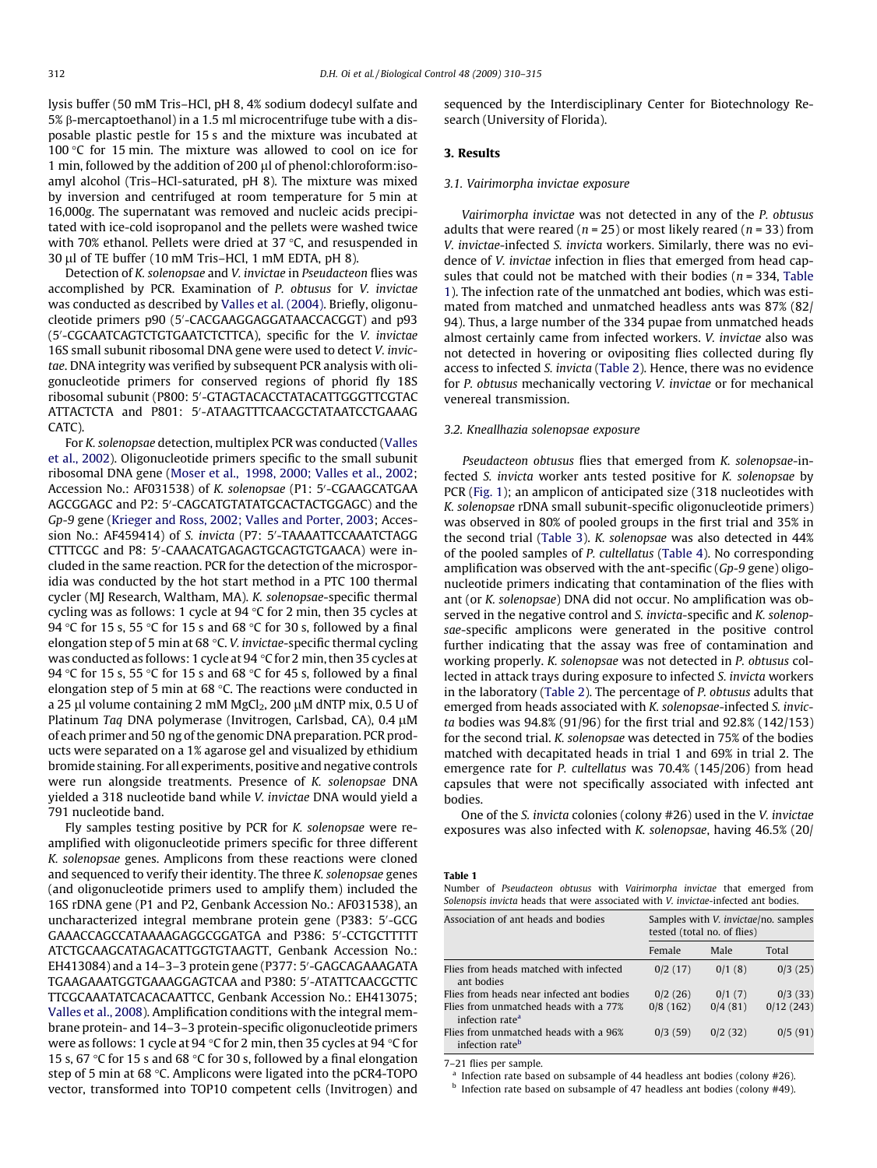lysis buffer (50 mM Tris–HCl, pH 8, 4% sodium dodecyl sulfate and 5% b-mercaptoethanol) in a 1.5 ml microcentrifuge tube with a disposable plastic pestle for 15 s and the mixture was incubated at 100 $\degree$ C for 15 min. The mixture was allowed to cool on ice for 1 min, followed by the addition of 200 µl of phenol:chloroform:isoamyl alcohol (Tris–HCl-saturated, pH 8). The mixture was mixed by inversion and centrifuged at room temperature for 5 min at 16,000g. The supernatant was removed and nucleic acids precipitated with ice-cold isopropanol and the pellets were washed twice with 70% ethanol. Pellets were dried at 37 °C, and resuspended in 30 µl of TE buffer (10 mM Tris-HCl, 1 mM EDTA, pH 8).

Detection of K. solenopsae and V. invictae in Pseudacteon flies was accomplished by PCR. Examination of P. obtusus for V. invictae was conducted as described by [Valles et al. \(2004\).](#page-5-0) Briefly, oligonucleotide primers p90 (5'-CACGAAGGAGGATAACCACGGT) and p93 (5'-CGCAATCAGTCTGTGAATCTCTTCA), specific for the V. invictae 16S small subunit ribosomal DNA gene were used to detect V. invictae. DNA integrity was verified by subsequent PCR analysis with oligonucleotide primers for conserved regions of phorid fly 18S ribosomal subunit (P800: 5'-GTAGTACACCTATACATTGGGTTCGTAC ATTACTCTA and P801: 5'-ATAAGTTTCAACGCTATAATCCTGAAAG  $CATC$ ).

For K. solenopsae detection, multiplex PCR was conducted [\(Valles](#page-5-0) [et al., 2002\)](#page-5-0). Oligonucleotide primers specific to the small subunit ribosomal DNA gene ([Moser et al., 1998, 2000; Valles et al., 2002;](#page-5-0) Accession No.: AF031538) of K. solenopsae (P1: 5'-CGAAGCATGAA AGCGGAGC and P2: 5'-CAGCATGTATATGCACTACTGGAGC) and the Gp-9 gene ([Krieger and Ross, 2002; Valles and Porter, 2003](#page-4-0); Accession No.: AF459414) of S. invicta (P7: 5'-TAAAATTCCAAATCTAGG CTTTCGC and P8: 5'-CAAACATGAGAGTGCAGTGTGAACA) were included in the same reaction. PCR for the detection of the microsporidia was conducted by the hot start method in a PTC 100 thermal cycler (MJ Research, Waltham, MA). K. solenopsae-specific thermal cycling was as follows: 1 cycle at 94 °C for 2 min, then 35 cycles at 94 °C for 15 s, 55 °C for 15 s and 68 °C for 30 s, followed by a final elongation step of 5 min at 68 °C. V. invictae-specific thermal cycling was conducted as follows: 1 cycle at 94 °C for 2 min, then 35 cycles at 94 °C for 15 s, 55 °C for 15 s and 68 °C for 45 s, followed by a final elongation step of 5 min at 68 °C. The reactions were conducted in a 25 µl volume containing 2 mM MgCl<sub>2</sub>, 200 µM dNTP mix, 0.5 U of Platinum Taq DNA polymerase (Invitrogen, Carlsbad, CA),  $0.4 \mu M$ of each primer and 50 ng of the genomic DNA preparation. PCR products were separated on a 1% agarose gel and visualized by ethidium bromide staining. For all experiments, positive and negative controls were run alongside treatments. Presence of K. solenopsae DNA yielded a 318 nucleotide band while V. invictae DNA would yield a 791 nucleotide band.

Fly samples testing positive by PCR for K. solenopsae were reamplified with oligonucleotide primers specific for three different K. solenopsae genes. Amplicons from these reactions were cloned and sequenced to verify their identity. The three K. solenopsae genes (and oligonucleotide primers used to amplify them) included the 16S rDNA gene (P1 and P2, Genbank Accession No.: AF031538), an uncharacterized integral membrane protein gene (P383: 5'-GCG GAAACCAGCCATAAAAGAGGCGGATGA and P386: 5'-CCTGCTTTTT ATCTGCAAGCATAGACATTGGTGTAAGTT, Genbank Accession No.: EH413084) and a 14-3-3 protein gene (P377: 5′-GAGCAGAAAGATA TGAAGAAATGGTGAAAGGAGTCAA and P380: 5'-ATATTCAACGCTTC TTCGCAAATATCACACAATTCC, Genbank Accession No.: EH413075; [Valles et al., 2008\)](#page-5-0). Amplification conditions with the integral membrane protein- and 14–3–3 protein-specific oligonucleotide primers were as follows: 1 cycle at 94 °C for 2 min, then 35 cycles at 94 °C for 15 s, 67 °C for 15 s and 68 °C for 30 s, followed by a final elongation step of 5 min at 68 °C. Amplicons were ligated into the pCR4-TOPO vector, transformed into TOP10 competent cells (Invitrogen) and

sequenced by the Interdisciplinary Center for Biotechnology Research (University of Florida).

#### 3. Results

#### 3.1. Vairimorpha invictae exposure

Vairimorpha invictae was not detected in any of the P. obtusus adults that were reared ( $n = 25$ ) or most likely reared ( $n = 33$ ) from V. invictae-infected S. invicta workers. Similarly, there was no evidence of V. invictae infection in flies that emerged from head capsules that could not be matched with their bodies ( $n = 334$ , Table 1). The infection rate of the unmatched ant bodies, which was estimated from matched and unmatched headless ants was 87% (82/ 94). Thus, a large number of the 334 pupae from unmatched heads almost certainly came from infected workers. V. invictae also was not detected in hovering or ovipositing flies collected during fly access to infected S. invicta [\(Table 2](#page-3-0)). Hence, there was no evidence for P. obtusus mechanically vectoring V. invictae or for mechanical venereal transmission.

## 3.2. Kneallhazia solenopsae exposure

Pseudacteon obtusus flies that emerged from K. solenopsae-infected S. invicta worker ants tested positive for K. solenopsae by PCR ([Fig. 1\)](#page-3-0); an amplicon of anticipated size (318 nucleotides with K. solenopsae rDNA small subunit-specific oligonucleotide primers) was observed in 80% of pooled groups in the first trial and 35% in the second trial [\(Table 3](#page-3-0)). K. solenopsae was also detected in 44% of the pooled samples of P. cultellatus ([Table 4\)](#page-3-0). No corresponding amplification was observed with the ant-specific (Gp-9 gene) oligonucleotide primers indicating that contamination of the flies with ant (or K. solenopsae) DNA did not occur. No amplification was observed in the negative control and S. invicta-specific and K. solenopsae-specific amplicons were generated in the positive control further indicating that the assay was free of contamination and working properly. K. solenopsae was not detected in P. obtusus collected in attack trays during exposure to infected S. invicta workers in the laboratory [\(Table 2](#page-3-0)). The percentage of P. obtusus adults that emerged from heads associated with K. solenopsae-infected S. invicta bodies was 94.8% (91/96) for the first trial and 92.8% (142/153) for the second trial. K. solenopsae was detected in 75% of the bodies matched with decapitated heads in trial 1 and 69% in trial 2. The emergence rate for P. cultellatus was 70.4% (145/206) from head capsules that were not specifically associated with infected ant bodies.

One of the S. invicta colonies (colony #26) used in the V. invictae exposures was also infected with K. solenopsae, having 46.5% (20/

Table 1

Number of Pseudacteon obtusus with Vairimorpha invictae that emerged from Solenopsis invicta heads that were associated with V. invictae-infected ant bodies.

| Association of ant heads and bodies                                  | Samples with V. invictae/no. samples<br>tested (total no. of flies) |         |           |
|----------------------------------------------------------------------|---------------------------------------------------------------------|---------|-----------|
|                                                                      | Female                                                              | Male    | Total     |
| Flies from heads matched with infected<br>ant bodies                 | 0/2(17)                                                             | 0/1(8)  | 0/3(25)   |
| Flies from heads near infected ant bodies                            | 0/2(26)                                                             | 0/1(7)  | 0/3(33)   |
| Flies from unmatched heads with a 77%<br>infection rate <sup>a</sup> | 0/8(162)                                                            | 0/4(81) | 0/12(243) |
| Flies from unmatched heads with a 96%<br>infection rate <sup>b</sup> | 0/3(59)                                                             | 0/2(32) | 0/5(91)   |

7–21 flies per sample.

Infection rate based on subsample of 44 headless ant bodies (colony  $#26$ ).

<sup>b</sup> Infection rate based on subsample of 47 headless ant bodies (colony #49).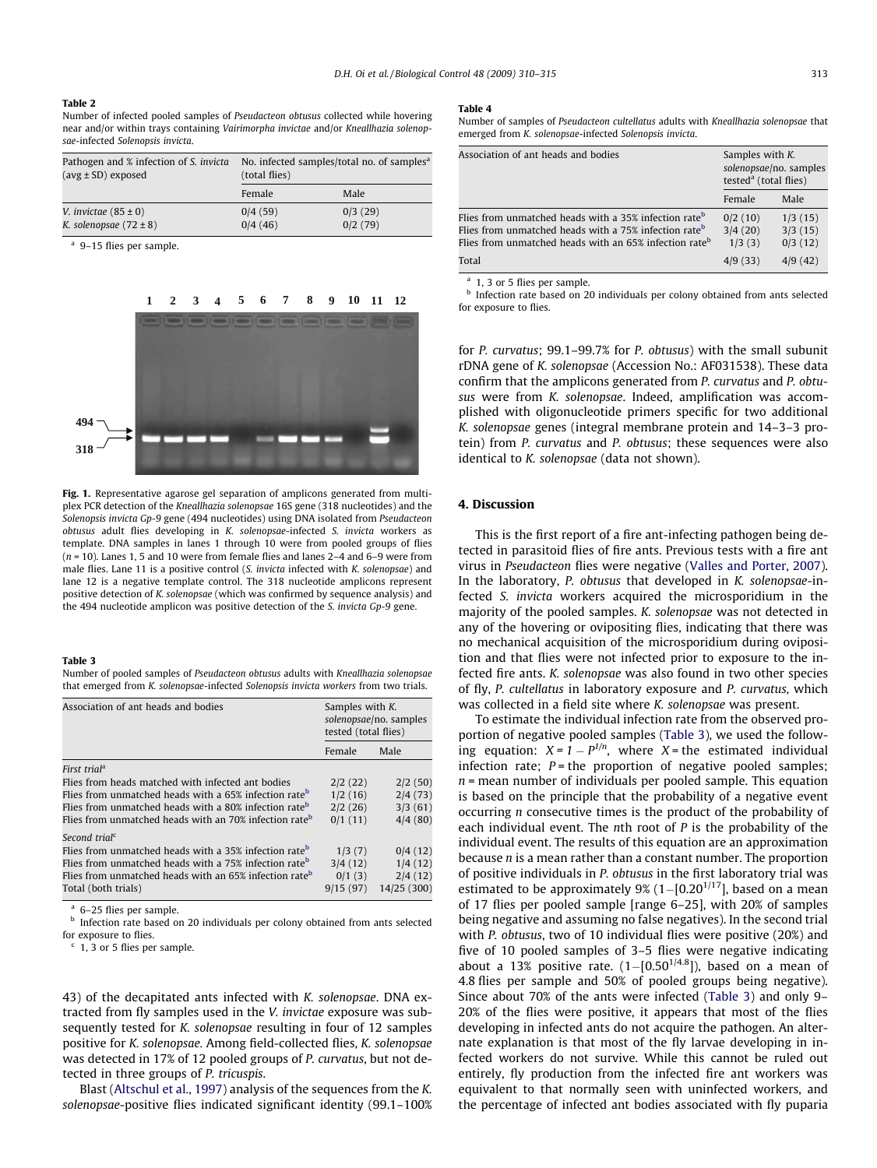#### <span id="page-3-0"></span>Table 2

Number of infected pooled samples of Pseudacteon obtusus collected while hovering near and/or within trays containing Vairimorpha invictae and/or Kneallhazia solenopsae-infected Solenopsis invicta.

| Pathogen and % infection of S. <i>invicta</i><br>$(avg \pm SD)$ exposed | No. infected samples/total no. of samples <sup>a</sup><br>(total flies) |                    |  |
|-------------------------------------------------------------------------|-------------------------------------------------------------------------|--------------------|--|
|                                                                         | Female                                                                  | Male               |  |
| V. <i>invictae</i> $(85 \pm 0)$<br>K. solenopsae $(72 \pm 8)$           | 0/4(59)<br>0/4(46)                                                      | 0/3(29)<br>0/2(79) |  |

<sup>a</sup> 9–15 flies per sample.



Fig. 1. Representative agarose gel separation of amplicons generated from multiplex PCR detection of the Kneallhazia solenopsae 16S gene (318 nucleotides) and the Solenopsis invicta Gp-9 gene (494 nucleotides) using DNA isolated from Pseudacteon obtusus adult flies developing in K. solenopsae-infected S. invicta workers as template. DNA samples in lanes 1 through 10 were from pooled groups of flies  $(n = 10)$ . Lanes 1, 5 and 10 were from female flies and lanes 2–4 and 6–9 were from male flies. Lane 11 is a positive control (S. invicta infected with K. solenopsae) and lane 12 is a negative template control. The 318 nucleotide amplicons represent positive detection of K. solenopsae (which was confirmed by sequence analysis) and the 494 nucleotide amplicon was positive detection of the S. invicta Gp-9 gene.

#### Table 3

Number of pooled samples of Pseudacteon obtusus adults with Kneallhazia solenopsae that emerged from K. solenopsae-infected Solenopsis invicta workers from two trials.

| Association of ant heads and bodies                                | Samples with K.<br>solenopsae/no. samples<br>tested (total flies) |             |
|--------------------------------------------------------------------|-------------------------------------------------------------------|-------------|
|                                                                    | Female                                                            | Male        |
| First trial <sup>a</sup>                                           |                                                                   |             |
| Flies from heads matched with infected ant bodies                  | 2/2(22)                                                           | 2/2(50)     |
| Flies from unmatched heads with a 65% infection rate <sup>b</sup>  | 1/2(16)                                                           | 2/4(73)     |
| Flies from unmatched heads with a 80% infection rate <sup>b</sup>  | 2/2(26)                                                           | 3/3(61)     |
| Flies from unmatched heads with an 70% infection rate <sup>b</sup> | 0/1(11)                                                           | 4/4(80)     |
| Second trial <sup>c</sup>                                          |                                                                   |             |
| Flies from unmatched heads with a 35% infection rate <sup>b</sup>  | 1/3(7)                                                            | 0/4(12)     |
| Flies from unmatched heads with a 75% infection rate <sup>b</sup>  | 3/4(12)                                                           | 1/4(12)     |
| Flies from unmatched heads with an 65% infection rate <sup>b</sup> | 0/1(3)                                                            | 2/4(12)     |
| Total (both trials)                                                | 9/15(97)                                                          | 14/25 (300) |

<sup>a</sup> 6–25 flies per sample.

**b** Infection rate based on 20 individuals per colony obtained from ants selected for exposure to flies.

 $c$  1, 3 or 5 flies per sample.

43) of the decapitated ants infected with K. solenopsae. DNA extracted from fly samples used in the V. invictae exposure was subsequently tested for K. solenopsae resulting in four of 12 samples positive for K. solenopsae. Among field-collected flies, K. solenopsae was detected in 17% of 12 pooled groups of P. curvatus, but not detected in three groups of P. tricuspis.

Blast ([Altschul et al., 1997](#page-4-0)) analysis of the sequences from the K. solenopsae-positive flies indicated significant identity (99.1–100%

#### Table 4

Number of samples of Pseudacteon cultellatus adults with Kneallhazia solenopsae that emerged from K. solenopsae-infected Solenopsis invicta.

| Association of ant heads and bodies                                                                                                                                                                          | Samples with K.<br>solenopsae/no. samples<br>tested <sup>a</sup> (total flies) |                               |
|--------------------------------------------------------------------------------------------------------------------------------------------------------------------------------------------------------------|--------------------------------------------------------------------------------|-------------------------------|
|                                                                                                                                                                                                              | Female                                                                         | Male                          |
| Flies from unmatched heads with a 35% infection rate <sup>b</sup><br>Flies from unmatched heads with a 75% infection rate <sup>b</sup><br>Flies from unmatched heads with an 65% infection rate <sup>b</sup> | 0/2(10)<br>3/4(20)<br>1/3(3)                                                   | 1/3(15)<br>3/3(15)<br>0/3(12) |
| Total                                                                                                                                                                                                        | 4/9(33)                                                                        | 4/9(42)                       |

<sup>a</sup> 1, 3 or 5 flies per sample.

**b** Infection rate based on 20 individuals per colony obtained from ants selected for exposure to flies.

for P. curvatus; 99.1–99.7% for P. obtusus) with the small subunit rDNA gene of K. solenopsae (Accession No.: AF031538). These data confirm that the amplicons generated from P. curvatus and P. obtusus were from K. solenopsae. Indeed, amplification was accomplished with oligonucleotide primers specific for two additional K. solenopsae genes (integral membrane protein and 14–3–3 protein) from P. curvatus and P. obtusus; these sequences were also identical to K. solenopsae (data not shown).

#### 4. Discussion

This is the first report of a fire ant-infecting pathogen being detected in parasitoid flies of fire ants. Previous tests with a fire ant virus in Pseudacteon flies were negative ([Valles and Porter, 2007\)](#page-5-0). In the laboratory, P. obtusus that developed in K. solenopsae-infected S. invicta workers acquired the microsporidium in the majority of the pooled samples. K. solenopsae was not detected in any of the hovering or ovipositing flies, indicating that there was no mechanical acquisition of the microsporidium during oviposition and that flies were not infected prior to exposure to the infected fire ants. K. solenopsae was also found in two other species of fly, P. cultellatus in laboratory exposure and P. curvatus, which was collected in a field site where K. solenopsae was present.

To estimate the individual infection rate from the observed proportion of negative pooled samples (Table 3), we used the following equation:  $X = 1 - P^{1/n}$ , where  $X =$  the estimated individual infection rate;  $P =$  the proportion of negative pooled samples;  $n =$  mean number of individuals per pooled sample. This equation is based on the principle that the probability of a negative event occurring n consecutive times is the product of the probability of each individual event. The nth root of  $P$  is the probability of the individual event. The results of this equation are an approximation because  $n$  is a mean rather than a constant number. The proportion of positive individuals in P. obtusus in the first laboratory trial was estimated to be approximately 9%  $(1-[0.20^{1/17}]$ , based on a mean of 17 flies per pooled sample [range 6–25], with 20% of samples being negative and assuming no false negatives). In the second trial with P. obtusus, two of 10 individual flies were positive (20%) and five of 10 pooled samples of 3–5 flies were negative indicating about a 13% positive rate.  $(1-[0.50^{1/4.8}])$ , based on a mean of 4.8 flies per sample and 50% of pooled groups being negative). Since about 70% of the ants were infected (Table 3) and only 9– 20% of the flies were positive, it appears that most of the flies developing in infected ants do not acquire the pathogen. An alternate explanation is that most of the fly larvae developing in infected workers do not survive. While this cannot be ruled out entirely, fly production from the infected fire ant workers was equivalent to that normally seen with uninfected workers, and the percentage of infected ant bodies associated with fly puparia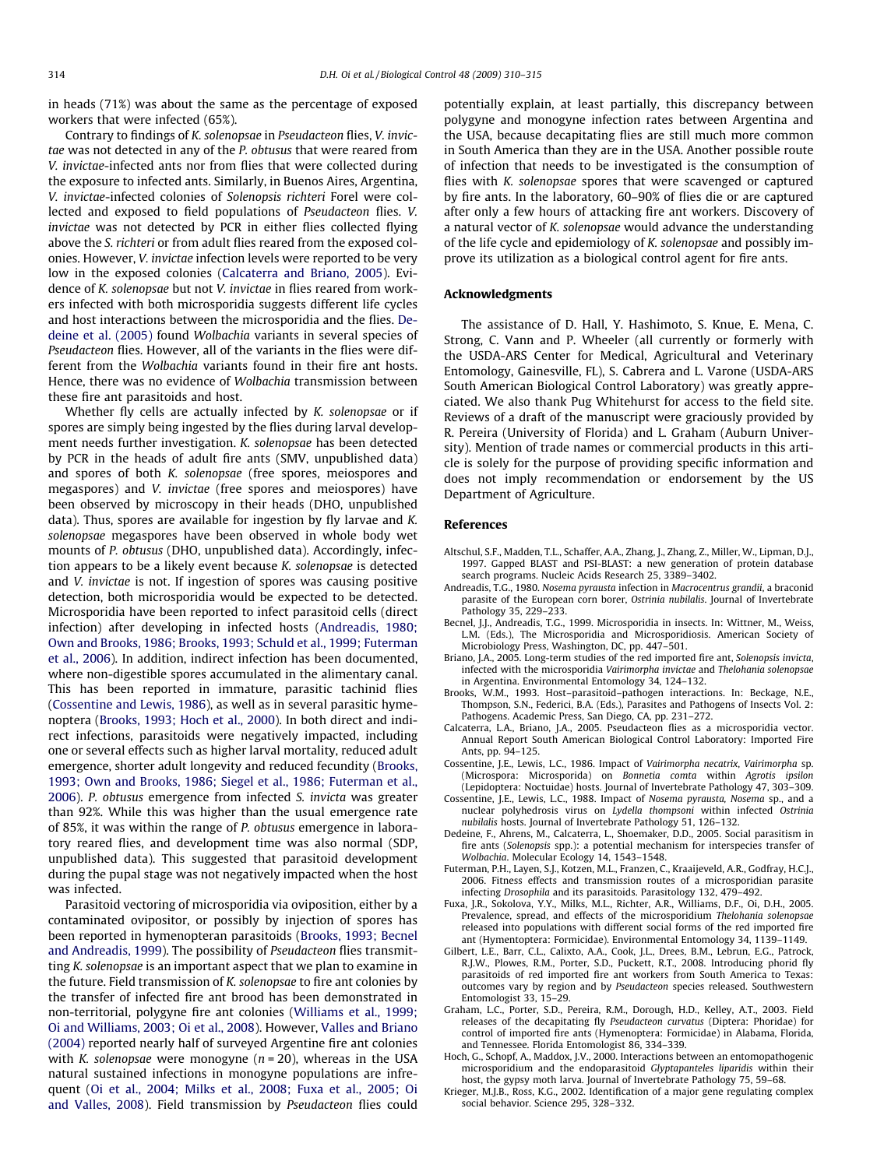<span id="page-4-0"></span>in heads (71%) was about the same as the percentage of exposed workers that were infected (65%).

Contrary to findings of K. solenopsae in Pseudacteon flies, V. invictae was not detected in any of the P. obtusus that were reared from V. invictae-infected ants nor from flies that were collected during the exposure to infected ants. Similarly, in Buenos Aires, Argentina, V. invictae-infected colonies of Solenopsis richteri Forel were collected and exposed to field populations of Pseudacteon flies. V. invictae was not detected by PCR in either flies collected flying above the S. richteri or from adult flies reared from the exposed colonies. However, V. invictae infection levels were reported to be very low in the exposed colonies (Calcaterra and Briano, 2005). Evidence of K. solenopsae but not V. invictae in flies reared from workers infected with both microsporidia suggests different life cycles and host interactions between the microsporidia and the flies. Dedeine et al. (2005) found Wolbachia variants in several species of Pseudacteon flies. However, all of the variants in the flies were different from the Wolbachia variants found in their fire ant hosts. Hence, there was no evidence of Wolbachia transmission between these fire ant parasitoids and host.

Whether fly cells are actually infected by K. solenopsae or if spores are simply being ingested by the flies during larval development needs further investigation. K. solenopsae has been detected by PCR in the heads of adult fire ants (SMV, unpublished data) and spores of both K. solenopsae (free spores, meiospores and megaspores) and V. invictae (free spores and meiospores) have been observed by microscopy in their heads (DHO, unpublished data). Thus, spores are available for ingestion by fly larvae and K. solenopsae megaspores have been observed in whole body wet mounts of P. obtusus (DHO, unpublished data). Accordingly, infection appears to be a likely event because K. solenopsae is detected and V. invictae is not. If ingestion of spores was causing positive detection, both microsporidia would be expected to be detected. Microsporidia have been reported to infect parasitoid cells (direct infection) after developing in infected hosts (Andreadis, 1980; Own and Brooks, 1986; Brooks, 1993; Schuld et al., 1999; Futerman et al., 2006). In addition, indirect infection has been documented, where non-digestible spores accumulated in the alimentary canal. This has been reported in immature, parasitic tachinid flies (Cossentine and Lewis, 1986), as well as in several parasitic hymenoptera (Brooks, 1993; Hoch et al., 2000). In both direct and indirect infections, parasitoids were negatively impacted, including one or several effects such as higher larval mortality, reduced adult emergence, shorter adult longevity and reduced fecundity (Brooks, 1993; Own and Brooks, 1986; Siegel et al., 1986; Futerman et al., 2006). P. obtusus emergence from infected S. invicta was greater than 92%. While this was higher than the usual emergence rate of 85%, it was within the range of P. obtusus emergence in laboratory reared flies, and development time was also normal (SDP, unpublished data). This suggested that parasitoid development during the pupal stage was not negatively impacted when the host was infected.

Parasitoid vectoring of microsporidia via oviposition, either by a contaminated ovipositor, or possibly by injection of spores has been reported in hymenopteran parasitoids (Brooks, 1993; Becnel and Andreadis, 1999). The possibility of Pseudacteon flies transmitting K. solenopsae is an important aspect that we plan to examine in the future. Field transmission of K. solenopsae to fire ant colonies by the transfer of infected fire ant brood has been demonstrated in non-territorial, polygyne fire ant colonies ([Williams et al., 1999;](#page-5-0) [Oi and Williams, 2003; Oi et al., 2008](#page-5-0)). However, [Valles and Briano](#page-5-0) [\(2004\)](#page-5-0) reported nearly half of surveyed Argentine fire ant colonies with K. solenopsae were monogyne ( $n = 20$ ), whereas in the USA natural sustained infections in monogyne populations are infrequent ([Oi et al., 2004; Milks et al., 2008; Fuxa et al., 2005; Oi](#page-5-0) [and Valles, 2008\)](#page-5-0). Field transmission by Pseudacteon flies could potentially explain, at least partially, this discrepancy between polygyne and monogyne infection rates between Argentina and the USA, because decapitating flies are still much more common in South America than they are in the USA. Another possible route of infection that needs to be investigated is the consumption of flies with K. solenopsae spores that were scavenged or captured by fire ants. In the laboratory, 60–90% of flies die or are captured after only a few hours of attacking fire ant workers. Discovery of a natural vector of K. solenopsae would advance the understanding of the life cycle and epidemiology of K. solenopsae and possibly improve its utilization as a biological control agent for fire ants.

## Acknowledgments

The assistance of D. Hall, Y. Hashimoto, S. Knue, E. Mena, C. Strong, C. Vann and P. Wheeler (all currently or formerly with the USDA-ARS Center for Medical, Agricultural and Veterinary Entomology, Gainesville, FL), S. Cabrera and L. Varone (USDA-ARS South American Biological Control Laboratory) was greatly appreciated. We also thank Pug Whitehurst for access to the field site. Reviews of a draft of the manuscript were graciously provided by R. Pereira (University of Florida) and L. Graham (Auburn University). Mention of trade names or commercial products in this article is solely for the purpose of providing specific information and does not imply recommendation or endorsement by the US Department of Agriculture.

## References

- Altschul, S.F., Madden, T.L., Schaffer, A.A., Zhang, J., Zhang, Z., Miller, W., Lipman, D.J., 1997. Gapped BLAST and PSI-BLAST: a new generation of protein database search programs. Nucleic Acids Research 25, 3389–3402.
- Andreadis, T.G., 1980. Nosema pyrausta infection in Macrocentrus grandii, a braconid parasite of the European corn borer, Ostrinia nubilalis. Journal of Invertebrate Pathology 35, 229–233.
- Becnel, J.J., Andreadis, T.G., 1999. Microsporidia in insects. In: Wittner, M., Weiss, L.M. (Eds.), The Microsporidia and Microsporidiosis. American Society of Microbiology Press, Washington, DC, pp. 447–501.
- Briano, J.A., 2005. Long-term studies of the red imported fire ant, Solenopsis invicta, infected with the microsporidia Vairimorpha invictae and Thelohania solenopsae in Argentina. Environmental Entomology 34, 124–132.
- Brooks, W.M., 1993. Host–parasitoid–pathogen interactions. In: Beckage, N.E., Thompson, S.N., Federici, B.A. (Eds.), Parasites and Pathogens of Insects Vol. 2: Pathogens. Academic Press, San Diego, CA, pp. 231–272.
- Calcaterra, L.A., Briano, J.A., 2005. Pseudacteon flies as a microsporidia vector. Annual Report South American Biological Control Laboratory: Imported Fire Ants, pp. 94–125.
- Cossentine, J.E., Lewis, L.C., 1986. Impact of Vairimorpha necatrix, Vairimorpha sp. (Microspora: Microsporida) on Bonnetia comta within Agrotis ipsilon (Lepidoptera: Noctuidae) hosts. Journal of Invertebrate Pathology 47, 303–309.
- Cossentine, J.E., Lewis, L.C., 1988. Impact of Nosema pyrausta, Nosema sp., and a nuclear polyhedrosis virus on Lydella thompsoni within infected Ostrinia nubilalis hosts. Journal of Invertebrate Pathology 51, 126–132.
- Dedeine, F., Ahrens, M., Calcaterra, L., Shoemaker, D.D., 2005. Social parasitism in fire ants (Solenopsis spp.): a potential mechanism for interspecies transfer of Wolbachia. Molecular Ecology 14, 1543–1548.
- Futerman, P.H., Layen, S.J., Kotzen, M.L., Franzen, C., Kraaijeveld, A.R., Godfray, H.C.J., 2006. Fitness effects and transmission routes of a microsporidian parasite infecting Drosophila and its parasitoids. Parasitology 132, 479–492.
- Fuxa, J.R., Sokolova, Y.Y., Milks, M.L., Richter, A.R., Williams, D.F., Oi, D.H., 2005. Prevalence, spread, and effects of the microsporidium Thelohania solenopsae released into populations with different social forms of the red imported fire ant (Hymentoptera: Formicidae). Environmental Entomology 34, 1139–1149.
- Gilbert, L.E., Barr, C.L., Calixto, A.A., Cook, J.L., Drees, B.M., Lebrun, E.G., Patrock, R.J.W., Plowes, R.M., Porter, S.D., Puckett, R.T., 2008. Introducing phorid fly parasitoids of red imported fire ant workers from South America to Texas: outcomes vary by region and by Pseudacteon species released. Southwestern Entomologist 33, 15–29.
- Graham, L.C., Porter, S.D., Pereira, R.M., Dorough, H.D., Kelley, A.T., 2003. Field releases of the decapitating fly Pseudacteon curvatus (Diptera: Phoridae) for control of imported fire ants (Hymenoptera: Formicidae) in Alabama, Florida, and Tennessee. Florida Entomologist 86, 334–339.
- Hoch, G., Schopf, A., Maddox, J.V., 2000. Interactions between an entomopathogenic microsporidium and the endoparasitoid Glyptapanteles liparidis within their host, the gypsy moth larva. Journal of Invertebrate Pathology 75, 59–68.
- Krieger, M.J.B., Ross, K.G., 2002. Identification of a major gene regulating complex social behavior. Science 295, 328–332.